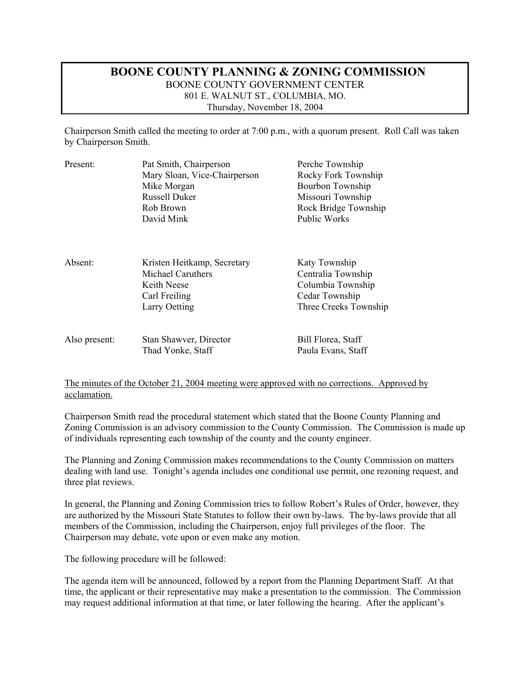### **BOONE COUNTY PLANNING & ZONING COMMISSION**  BOONE COUNTY GOVERNMENT CENTER 801 E. WALNUT ST., COLUMBIA, MO. Thursday, November 18, 2004

Chairperson Smith called the meeting to order at 7:00 p.m., with a quorum present. Roll Call was taken by Chairperson Smith.

| Present:      | Pat Smith, Chairperson<br>Mary Sloan, Vice-Chairperson<br>Mike Morgan<br><b>Russell Duker</b><br>Rob Brown<br>David Mink | Perche Township<br>Rocky Fork Township<br>Bourbon Township<br>Missouri Township<br>Rock Bridge Township<br><b>Public Works</b> |
|---------------|--------------------------------------------------------------------------------------------------------------------------|--------------------------------------------------------------------------------------------------------------------------------|
| Absent:       | Kristen Heitkamp, Secretary<br>Michael Caruthers<br>Keith Neese<br>Carl Freiling<br>Larry Oetting                        | Katy Township<br>Centralia Township<br>Columbia Township<br>Cedar Township<br>Three Creeks Township                            |
| Also present: | Stan Shawver, Director<br>Thad Yonke, Staff                                                                              | Bill Florea, Staff<br>Paula Evans, Staff                                                                                       |

#### The minutes of the October 21, 2004 meeting were approved with no corrections. Approved by acclamation.

Chairperson Smith read the procedural statement which stated that the Boone County Planning and Zoning Commission is an advisory commission to the County Commission. The Commission is made up of individuals representing each township of the county and the county engineer.

The Planning and Zoning Commission makes recommendations to the County Commission on matters dealing with land use. Tonight's agenda includes one conditional use permit, one rezoning request, and three plat reviews.

In general, the Planning and Zoning Commission tries to follow Robert's Rules of Order, however, they are authorized by the Missouri State Statutes to follow their own by-laws. The by-laws provide that all members of the Commission, including the Chairperson, enjoy full privileges of the floor. The Chairperson may debate, vote upon or even make any motion.

The following procedure will be followed:

The agenda item will be announced, followed by a report from the Planning Department Staff. At that time, the applicant or their representative may make a presentation to the commission. The Commission may request additional information at that time, or later following the hearing. After the applicant's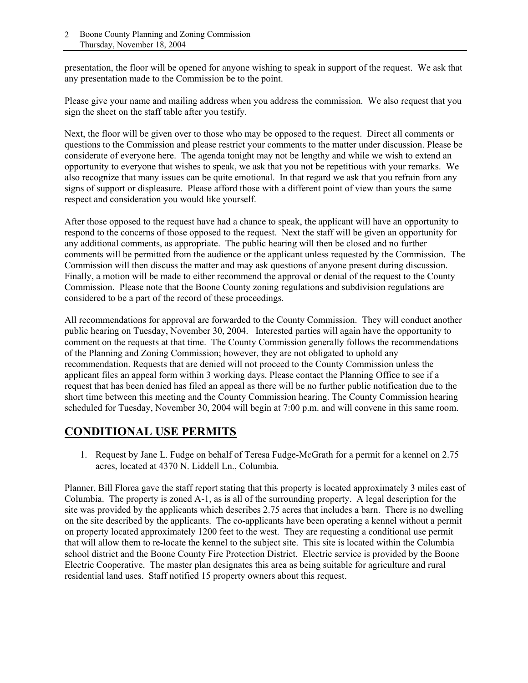presentation, the floor will be opened for anyone wishing to speak in support of the request. We ask that any presentation made to the Commission be to the point.

Please give your name and mailing address when you address the commission. We also request that you sign the sheet on the staff table after you testify.

Next, the floor will be given over to those who may be opposed to the request. Direct all comments or questions to the Commission and please restrict your comments to the matter under discussion. Please be considerate of everyone here. The agenda tonight may not be lengthy and while we wish to extend an opportunity to everyone that wishes to speak, we ask that you not be repetitious with your remarks. We also recognize that many issues can be quite emotional. In that regard we ask that you refrain from any signs of support or displeasure. Please afford those with a different point of view than yours the same respect and consideration you would like yourself.

After those opposed to the request have had a chance to speak, the applicant will have an opportunity to respond to the concerns of those opposed to the request. Next the staff will be given an opportunity for any additional comments, as appropriate. The public hearing will then be closed and no further comments will be permitted from the audience or the applicant unless requested by the Commission. The Commission will then discuss the matter and may ask questions of anyone present during discussion. Finally, a motion will be made to either recommend the approval or denial of the request to the County Commission. Please note that the Boone County zoning regulations and subdivision regulations are considered to be a part of the record of these proceedings.

All recommendations for approval are forwarded to the County Commission. They will conduct another public hearing on Tuesday, November 30, 2004. Interested parties will again have the opportunity to comment on the requests at that time. The County Commission generally follows the recommendations of the Planning and Zoning Commission; however, they are not obligated to uphold any recommendation. Requests that are denied will not proceed to the County Commission unless the applicant files an appeal form within 3 working days. Please contact the Planning Office to see if a request that has been denied has filed an appeal as there will be no further public notification due to the short time between this meeting and the County Commission hearing. The County Commission hearing scheduled for Tuesday, November 30, 2004 will begin at 7:00 p.m. and will convene in this same room.

### **CONDITIONAL USE PERMITS**

1. Request by Jane L. Fudge on behalf of Teresa Fudge-McGrath for a permit for a kennel on 2.75 acres, located at 4370 N. Liddell Ln., Columbia.

Planner, Bill Florea gave the staff report stating that this property is located approximately 3 miles east of Columbia. The property is zoned A-1, as is all of the surrounding property. A legal description for the site was provided by the applicants which describes 2.75 acres that includes a barn. There is no dwelling on the site described by the applicants. The co-applicants have been operating a kennel without a permit on property located approximately 1200 feet to the west. They are requesting a conditional use permit that will allow them to re-locate the kennel to the subject site. This site is located within the Columbia school district and the Boone County Fire Protection District. Electric service is provided by the Boone Electric Cooperative. The master plan designates this area as being suitable for agriculture and rural residential land uses. Staff notified 15 property owners about this request.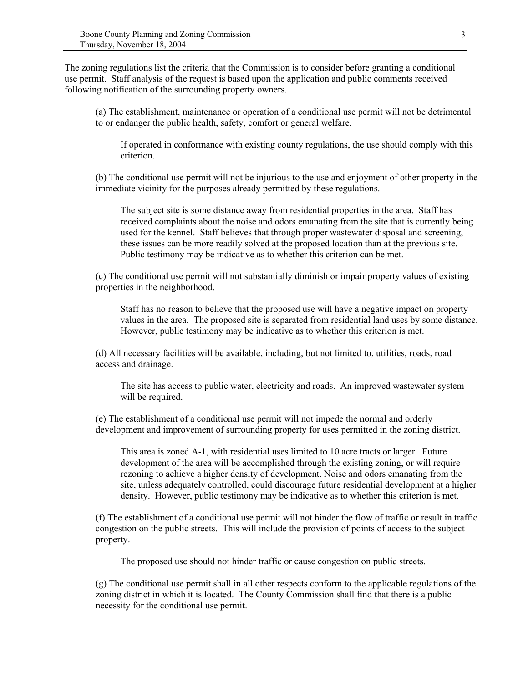The zoning regulations list the criteria that the Commission is to consider before granting a conditional use permit. Staff analysis of the request is based upon the application and public comments received following notification of the surrounding property owners.

(a) The establishment, maintenance or operation of a conditional use permit will not be detrimental to or endanger the public health, safety, comfort or general welfare.

If operated in conformance with existing county regulations, the use should comply with this criterion.

(b) The conditional use permit will not be injurious to the use and enjoyment of other property in the immediate vicinity for the purposes already permitted by these regulations.

The subject site is some distance away from residential properties in the area. Staff has received complaints about the noise and odors emanating from the site that is currently being used for the kennel. Staff believes that through proper wastewater disposal and screening, these issues can be more readily solved at the proposed location than at the previous site. Public testimony may be indicative as to whether this criterion can be met.

(c) The conditional use permit will not substantially diminish or impair property values of existing properties in the neighborhood.

Staff has no reason to believe that the proposed use will have a negative impact on property values in the area. The proposed site is separated from residential land uses by some distance. However, public testimony may be indicative as to whether this criterion is met.

(d) All necessary facilities will be available, including, but not limited to, utilities, roads, road access and drainage.

The site has access to public water, electricity and roads. An improved wastewater system will be required.

(e) The establishment of a conditional use permit will not impede the normal and orderly development and improvement of surrounding property for uses permitted in the zoning district.

This area is zoned A-1, with residential uses limited to 10 acre tracts or larger. Future development of the area will be accomplished through the existing zoning, or will require rezoning to achieve a higher density of development. Noise and odors emanating from the site, unless adequately controlled, could discourage future residential development at a higher density. However, public testimony may be indicative as to whether this criterion is met.

(f) The establishment of a conditional use permit will not hinder the flow of traffic or result in traffic congestion on the public streets. This will include the provision of points of access to the subject property.

The proposed use should not hinder traffic or cause congestion on public streets.

(g) The conditional use permit shall in all other respects conform to the applicable regulations of the zoning district in which it is located. The County Commission shall find that there is a public necessity for the conditional use permit.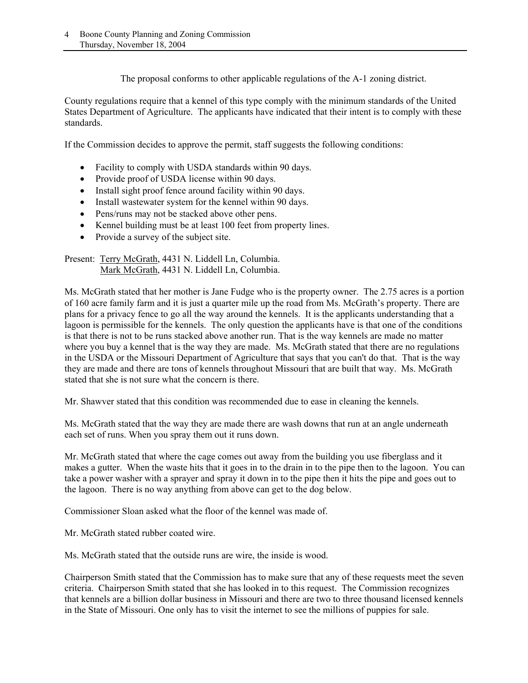The proposal conforms to other applicable regulations of the A-1 zoning district.

County regulations require that a kennel of this type comply with the minimum standards of the United States Department of Agriculture. The applicants have indicated that their intent is to comply with these standards.

If the Commission decides to approve the permit, staff suggests the following conditions:

- Facility to comply with USDA standards within 90 days.
- Provide proof of USDA license within 90 days.
- Install sight proof fence around facility within 90 days.
- Install wastewater system for the kennel within 90 days.
- Pens/runs may not be stacked above other pens.
- Kennel building must be at least 100 feet from property lines.
- Provide a survey of the subject site.

Present: Terry McGrath, 4431 N. Liddell Ln, Columbia. Mark McGrath, 4431 N. Liddell Ln, Columbia.

Ms. McGrath stated that her mother is Jane Fudge who is the property owner. The 2.75 acres is a portion of 160 acre family farm and it is just a quarter mile up the road from Ms. McGrath's property. There are plans for a privacy fence to go all the way around the kennels. It is the applicants understanding that a lagoon is permissible for the kennels. The only question the applicants have is that one of the conditions is that there is not to be runs stacked above another run. That is the way kennels are made no matter where you buy a kennel that is the way they are made. Ms. McGrath stated that there are no regulations in the USDA or the Missouri Department of Agriculture that says that you can't do that. That is the way they are made and there are tons of kennels throughout Missouri that are built that way. Ms. McGrath stated that she is not sure what the concern is there.

Mr. Shawver stated that this condition was recommended due to ease in cleaning the kennels.

Ms. McGrath stated that the way they are made there are wash downs that run at an angle underneath each set of runs. When you spray them out it runs down.

Mr. McGrath stated that where the cage comes out away from the building you use fiberglass and it makes a gutter. When the waste hits that it goes in to the drain in to the pipe then to the lagoon. You can take a power washer with a sprayer and spray it down in to the pipe then it hits the pipe and goes out to the lagoon. There is no way anything from above can get to the dog below.

Commissioner Sloan asked what the floor of the kennel was made of.

Mr. McGrath stated rubber coated wire.

Ms. McGrath stated that the outside runs are wire, the inside is wood.

Chairperson Smith stated that the Commission has to make sure that any of these requests meet the seven criteria. Chairperson Smith stated that she has looked in to this request. The Commission recognizes that kennels are a billion dollar business in Missouri and there are two to three thousand licensed kennels in the State of Missouri. One only has to visit the internet to see the millions of puppies for sale.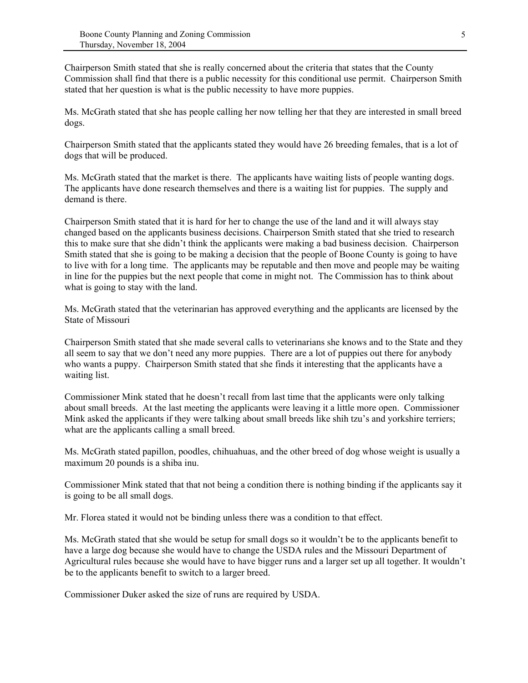Chairperson Smith stated that she is really concerned about the criteria that states that the County Commission shall find that there is a public necessity for this conditional use permit. Chairperson Smith stated that her question is what is the public necessity to have more puppies.

Ms. McGrath stated that she has people calling her now telling her that they are interested in small breed dogs.

Chairperson Smith stated that the applicants stated they would have 26 breeding females, that is a lot of dogs that will be produced.

Ms. McGrath stated that the market is there. The applicants have waiting lists of people wanting dogs. The applicants have done research themselves and there is a waiting list for puppies. The supply and demand is there.

Chairperson Smith stated that it is hard for her to change the use of the land and it will always stay changed based on the applicants business decisions. Chairperson Smith stated that she tried to research this to make sure that she didn't think the applicants were making a bad business decision. Chairperson Smith stated that she is going to be making a decision that the people of Boone County is going to have to live with for a long time. The applicants may be reputable and then move and people may be waiting in line for the puppies but the next people that come in might not. The Commission has to think about what is going to stay with the land.

Ms. McGrath stated that the veterinarian has approved everything and the applicants are licensed by the State of Missouri

Chairperson Smith stated that she made several calls to veterinarians she knows and to the State and they all seem to say that we don't need any more puppies. There are a lot of puppies out there for anybody who wants a puppy. Chairperson Smith stated that she finds it interesting that the applicants have a waiting list.

Commissioner Mink stated that he doesn't recall from last time that the applicants were only talking about small breeds. At the last meeting the applicants were leaving it a little more open. Commissioner Mink asked the applicants if they were talking about small breeds like shih tzu's and yorkshire terriers; what are the applicants calling a small breed.

Ms. McGrath stated papillon, poodles, chihuahuas, and the other breed of dog whose weight is usually a maximum 20 pounds is a shiba inu.

Commissioner Mink stated that that not being a condition there is nothing binding if the applicants say it is going to be all small dogs.

Mr. Florea stated it would not be binding unless there was a condition to that effect.

Ms. McGrath stated that she would be setup for small dogs so it wouldn't be to the applicants benefit to have a large dog because she would have to change the USDA rules and the Missouri Department of Agricultural rules because she would have to have bigger runs and a larger set up all together. It wouldn't be to the applicants benefit to switch to a larger breed.

Commissioner Duker asked the size of runs are required by USDA.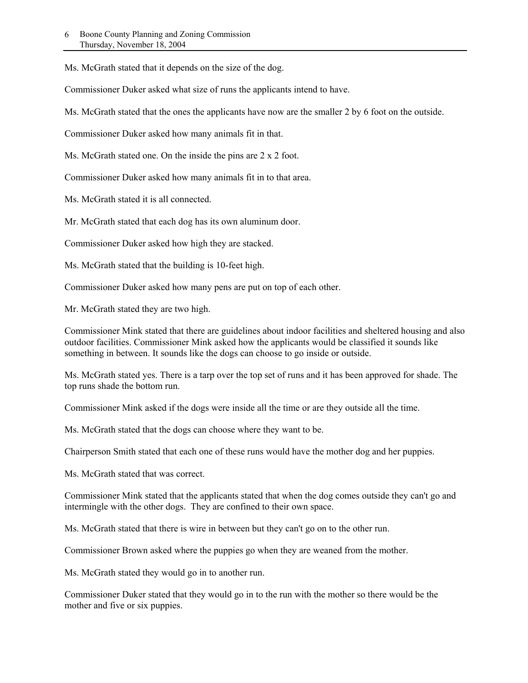Ms. McGrath stated that it depends on the size of the dog.

Commissioner Duker asked what size of runs the applicants intend to have.

Ms. McGrath stated that the ones the applicants have now are the smaller 2 by 6 foot on the outside.

Commissioner Duker asked how many animals fit in that.

Ms. McGrath stated one. On the inside the pins are 2 x 2 foot.

Commissioner Duker asked how many animals fit in to that area.

Ms. McGrath stated it is all connected.

Mr. McGrath stated that each dog has its own aluminum door.

Commissioner Duker asked how high they are stacked.

Ms. McGrath stated that the building is 10-feet high.

Commissioner Duker asked how many pens are put on top of each other.

Mr. McGrath stated they are two high.

Commissioner Mink stated that there are guidelines about indoor facilities and sheltered housing and also outdoor facilities. Commissioner Mink asked how the applicants would be classified it sounds like something in between. It sounds like the dogs can choose to go inside or outside.

Ms. McGrath stated yes. There is a tarp over the top set of runs and it has been approved for shade. The top runs shade the bottom run.

Commissioner Mink asked if the dogs were inside all the time or are they outside all the time.

Ms. McGrath stated that the dogs can choose where they want to be.

Chairperson Smith stated that each one of these runs would have the mother dog and her puppies.

Ms. McGrath stated that was correct.

Commissioner Mink stated that the applicants stated that when the dog comes outside they can't go and intermingle with the other dogs. They are confined to their own space.

Ms. McGrath stated that there is wire in between but they can't go on to the other run.

Commissioner Brown asked where the puppies go when they are weaned from the mother.

Ms. McGrath stated they would go in to another run.

Commissioner Duker stated that they would go in to the run with the mother so there would be the mother and five or six puppies.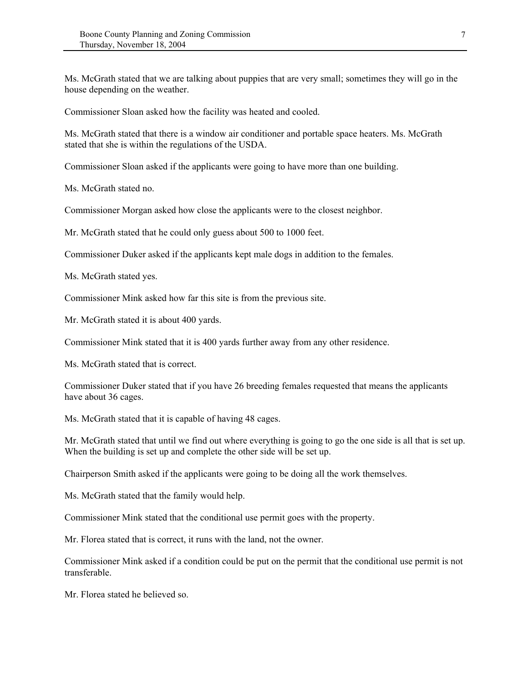Ms. McGrath stated that we are talking about puppies that are very small; sometimes they will go in the house depending on the weather.

Commissioner Sloan asked how the facility was heated and cooled.

Ms. McGrath stated that there is a window air conditioner and portable space heaters. Ms. McGrath stated that she is within the regulations of the USDA.

Commissioner Sloan asked if the applicants were going to have more than one building.

Ms. McGrath stated no.

Commissioner Morgan asked how close the applicants were to the closest neighbor.

Mr. McGrath stated that he could only guess about 500 to 1000 feet.

Commissioner Duker asked if the applicants kept male dogs in addition to the females.

Ms. McGrath stated yes.

Commissioner Mink asked how far this site is from the previous site.

Mr. McGrath stated it is about 400 yards.

Commissioner Mink stated that it is 400 yards further away from any other residence.

Ms. McGrath stated that is correct.

Commissioner Duker stated that if you have 26 breeding females requested that means the applicants have about 36 cages.

Ms. McGrath stated that it is capable of having 48 cages.

Mr. McGrath stated that until we find out where everything is going to go the one side is all that is set up. When the building is set up and complete the other side will be set up.

Chairperson Smith asked if the applicants were going to be doing all the work themselves.

Ms. McGrath stated that the family would help.

Commissioner Mink stated that the conditional use permit goes with the property.

Mr. Florea stated that is correct, it runs with the land, not the owner.

Commissioner Mink asked if a condition could be put on the permit that the conditional use permit is not transferable.

Mr. Florea stated he believed so.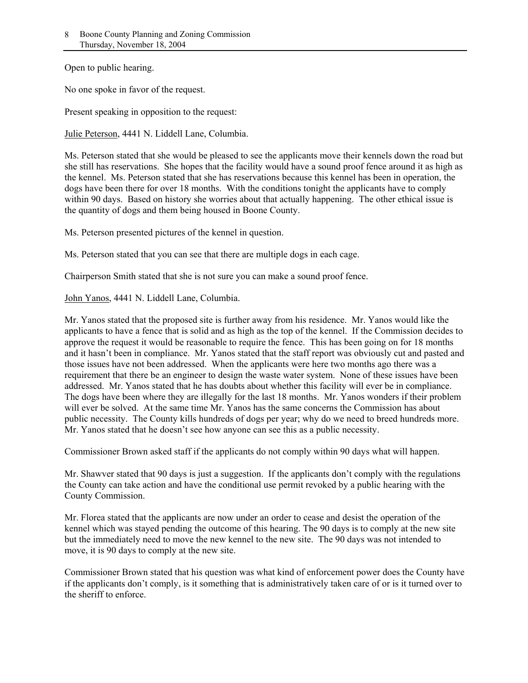Open to public hearing.

No one spoke in favor of the request.

Present speaking in opposition to the request:

Julie Peterson, 4441 N. Liddell Lane, Columbia.

Ms. Peterson stated that she would be pleased to see the applicants move their kennels down the road but she still has reservations. She hopes that the facility would have a sound proof fence around it as high as the kennel. Ms. Peterson stated that she has reservations because this kennel has been in operation, the dogs have been there for over 18 months. With the conditions tonight the applicants have to comply within 90 days. Based on history she worries about that actually happening. The other ethical issue is the quantity of dogs and them being housed in Boone County.

Ms. Peterson presented pictures of the kennel in question.

Ms. Peterson stated that you can see that there are multiple dogs in each cage.

Chairperson Smith stated that she is not sure you can make a sound proof fence.

John Yanos, 4441 N. Liddell Lane, Columbia.

Mr. Yanos stated that the proposed site is further away from his residence. Mr. Yanos would like the applicants to have a fence that is solid and as high as the top of the kennel. If the Commission decides to approve the request it would be reasonable to require the fence. This has been going on for 18 months and it hasn't been in compliance. Mr. Yanos stated that the staff report was obviously cut and pasted and those issues have not been addressed. When the applicants were here two months ago there was a requirement that there be an engineer to design the waste water system. None of these issues have been addressed. Mr. Yanos stated that he has doubts about whether this facility will ever be in compliance. The dogs have been where they are illegally for the last 18 months. Mr. Yanos wonders if their problem will ever be solved. At the same time Mr. Yanos has the same concerns the Commission has about public necessity. The County kills hundreds of dogs per year; why do we need to breed hundreds more. Mr. Yanos stated that he doesn't see how anyone can see this as a public necessity.

Commissioner Brown asked staff if the applicants do not comply within 90 days what will happen.

Mr. Shawver stated that 90 days is just a suggestion. If the applicants don't comply with the regulations the County can take action and have the conditional use permit revoked by a public hearing with the County Commission.

Mr. Florea stated that the applicants are now under an order to cease and desist the operation of the kennel which was stayed pending the outcome of this hearing. The 90 days is to comply at the new site but the immediately need to move the new kennel to the new site. The 90 days was not intended to move, it is 90 days to comply at the new site.

Commissioner Brown stated that his question was what kind of enforcement power does the County have if the applicants don't comply, is it something that is administratively taken care of or is it turned over to the sheriff to enforce.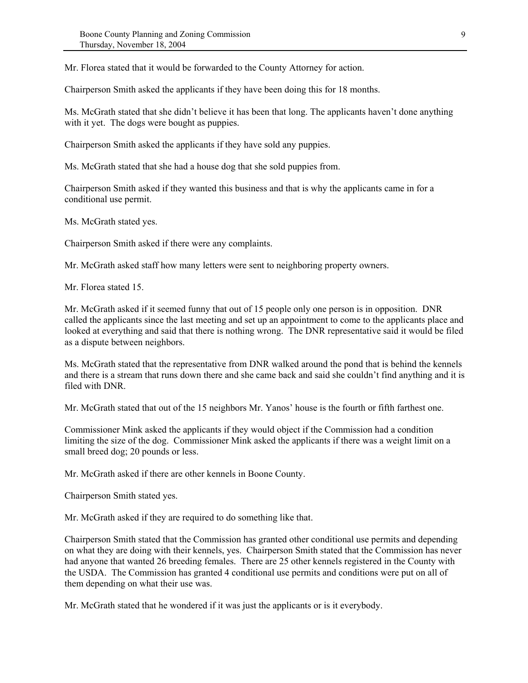Mr. Florea stated that it would be forwarded to the County Attorney for action.

Chairperson Smith asked the applicants if they have been doing this for 18 months.

Ms. McGrath stated that she didn't believe it has been that long. The applicants haven't done anything with it yet. The dogs were bought as puppies.

Chairperson Smith asked the applicants if they have sold any puppies.

Ms. McGrath stated that she had a house dog that she sold puppies from.

Chairperson Smith asked if they wanted this business and that is why the applicants came in for a conditional use permit.

Ms. McGrath stated yes.

Chairperson Smith asked if there were any complaints.

Mr. McGrath asked staff how many letters were sent to neighboring property owners.

Mr. Florea stated 15.

Mr. McGrath asked if it seemed funny that out of 15 people only one person is in opposition. DNR called the applicants since the last meeting and set up an appointment to come to the applicants place and looked at everything and said that there is nothing wrong. The DNR representative said it would be filed as a dispute between neighbors.

Ms. McGrath stated that the representative from DNR walked around the pond that is behind the kennels and there is a stream that runs down there and she came back and said she couldn't find anything and it is filed with DNR.

Mr. McGrath stated that out of the 15 neighbors Mr. Yanos' house is the fourth or fifth farthest one.

Commissioner Mink asked the applicants if they would object if the Commission had a condition limiting the size of the dog. Commissioner Mink asked the applicants if there was a weight limit on a small breed dog; 20 pounds or less.

Mr. McGrath asked if there are other kennels in Boone County.

Chairperson Smith stated yes.

Mr. McGrath asked if they are required to do something like that.

Chairperson Smith stated that the Commission has granted other conditional use permits and depending on what they are doing with their kennels, yes. Chairperson Smith stated that the Commission has never had anyone that wanted 26 breeding females. There are 25 other kennels registered in the County with the USDA. The Commission has granted 4 conditional use permits and conditions were put on all of them depending on what their use was.

Mr. McGrath stated that he wondered if it was just the applicants or is it everybody.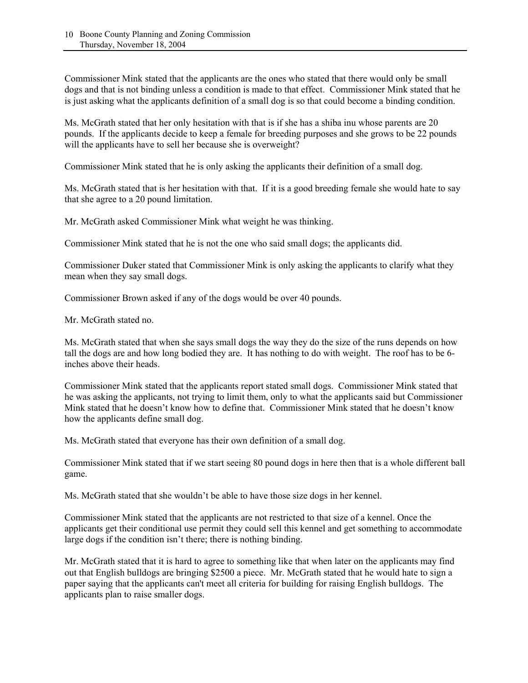Commissioner Mink stated that the applicants are the ones who stated that there would only be small dogs and that is not binding unless a condition is made to that effect. Commissioner Mink stated that he is just asking what the applicants definition of a small dog is so that could become a binding condition.

Ms. McGrath stated that her only hesitation with that is if she has a shiba inu whose parents are 20 pounds. If the applicants decide to keep a female for breeding purposes and she grows to be 22 pounds will the applicants have to sell her because she is overweight?

Commissioner Mink stated that he is only asking the applicants their definition of a small dog.

Ms. McGrath stated that is her hesitation with that. If it is a good breeding female she would hate to say that she agree to a 20 pound limitation.

Mr. McGrath asked Commissioner Mink what weight he was thinking.

Commissioner Mink stated that he is not the one who said small dogs; the applicants did.

Commissioner Duker stated that Commissioner Mink is only asking the applicants to clarify what they mean when they say small dogs.

Commissioner Brown asked if any of the dogs would be over 40 pounds.

Mr. McGrath stated no.

Ms. McGrath stated that when she says small dogs the way they do the size of the runs depends on how tall the dogs are and how long bodied they are. It has nothing to do with weight. The roof has to be 6 inches above their heads.

Commissioner Mink stated that the applicants report stated small dogs. Commissioner Mink stated that he was asking the applicants, not trying to limit them, only to what the applicants said but Commissioner Mink stated that he doesn't know how to define that. Commissioner Mink stated that he doesn't know how the applicants define small dog.

Ms. McGrath stated that everyone has their own definition of a small dog.

Commissioner Mink stated that if we start seeing 80 pound dogs in here then that is a whole different ball game.

Ms. McGrath stated that she wouldn't be able to have those size dogs in her kennel.

Commissioner Mink stated that the applicants are not restricted to that size of a kennel. Once the applicants get their conditional use permit they could sell this kennel and get something to accommodate large dogs if the condition isn't there; there is nothing binding.

Mr. McGrath stated that it is hard to agree to something like that when later on the applicants may find out that English bulldogs are bringing \$2500 a piece. Mr. McGrath stated that he would hate to sign a paper saying that the applicants can't meet all criteria for building for raising English bulldogs. The applicants plan to raise smaller dogs.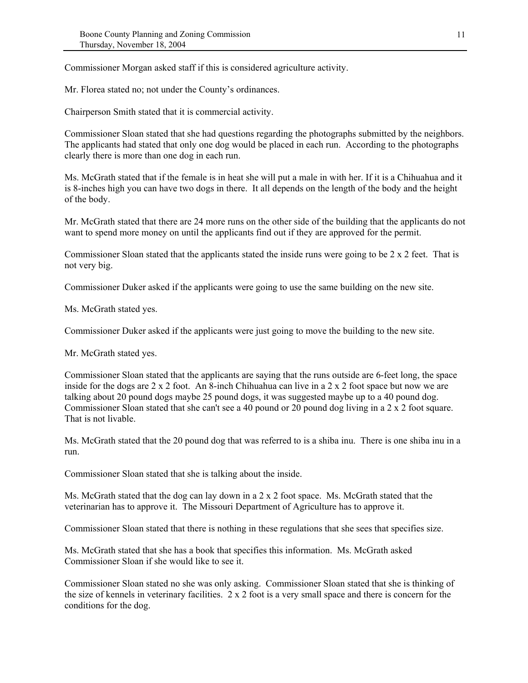Commissioner Morgan asked staff if this is considered agriculture activity.

Mr. Florea stated no; not under the County's ordinances.

Chairperson Smith stated that it is commercial activity.

Commissioner Sloan stated that she had questions regarding the photographs submitted by the neighbors. The applicants had stated that only one dog would be placed in each run. According to the photographs clearly there is more than one dog in each run.

Ms. McGrath stated that if the female is in heat she will put a male in with her. If it is a Chihuahua and it is 8-inches high you can have two dogs in there. It all depends on the length of the body and the height of the body.

Mr. McGrath stated that there are 24 more runs on the other side of the building that the applicants do not want to spend more money on until the applicants find out if they are approved for the permit.

Commissioner Sloan stated that the applicants stated the inside runs were going to be 2 x 2 feet. That is not very big.

Commissioner Duker asked if the applicants were going to use the same building on the new site.

Ms. McGrath stated yes.

Commissioner Duker asked if the applicants were just going to move the building to the new site.

Mr. McGrath stated yes.

Commissioner Sloan stated that the applicants are saying that the runs outside are 6-feet long, the space inside for the dogs are 2 x 2 foot. An 8-inch Chihuahua can live in a 2 x 2 foot space but now we are talking about 20 pound dogs maybe 25 pound dogs, it was suggested maybe up to a 40 pound dog. Commissioner Sloan stated that she can't see a 40 pound or 20 pound dog living in a 2 x 2 foot square. That is not livable.

Ms. McGrath stated that the 20 pound dog that was referred to is a shiba inu. There is one shiba inu in a run.

Commissioner Sloan stated that she is talking about the inside.

Ms. McGrath stated that the dog can lay down in a 2 x 2 foot space. Ms. McGrath stated that the veterinarian has to approve it. The Missouri Department of Agriculture has to approve it.

Commissioner Sloan stated that there is nothing in these regulations that she sees that specifies size.

Ms. McGrath stated that she has a book that specifies this information. Ms. McGrath asked Commissioner Sloan if she would like to see it.

Commissioner Sloan stated no she was only asking. Commissioner Sloan stated that she is thinking of the size of kennels in veterinary facilities. 2 x 2 foot is a very small space and there is concern for the conditions for the dog.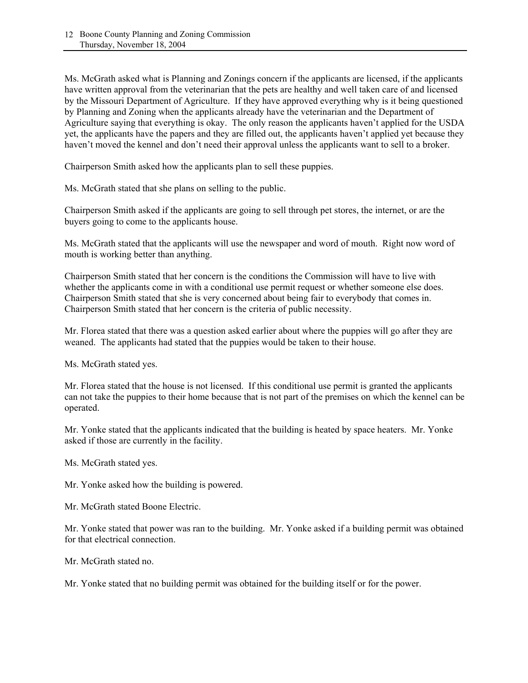Ms. McGrath asked what is Planning and Zonings concern if the applicants are licensed, if the applicants have written approval from the veterinarian that the pets are healthy and well taken care of and licensed by the Missouri Department of Agriculture. If they have approved everything why is it being questioned by Planning and Zoning when the applicants already have the veterinarian and the Department of Agriculture saying that everything is okay. The only reason the applicants haven't applied for the USDA yet, the applicants have the papers and they are filled out, the applicants haven't applied yet because they haven't moved the kennel and don't need their approval unless the applicants want to sell to a broker.

Chairperson Smith asked how the applicants plan to sell these puppies.

Ms. McGrath stated that she plans on selling to the public.

Chairperson Smith asked if the applicants are going to sell through pet stores, the internet, or are the buyers going to come to the applicants house.

Ms. McGrath stated that the applicants will use the newspaper and word of mouth. Right now word of mouth is working better than anything.

Chairperson Smith stated that her concern is the conditions the Commission will have to live with whether the applicants come in with a conditional use permit request or whether someone else does. Chairperson Smith stated that she is very concerned about being fair to everybody that comes in. Chairperson Smith stated that her concern is the criteria of public necessity.

Mr. Florea stated that there was a question asked earlier about where the puppies will go after they are weaned. The applicants had stated that the puppies would be taken to their house.

Ms. McGrath stated yes.

Mr. Florea stated that the house is not licensed. If this conditional use permit is granted the applicants can not take the puppies to their home because that is not part of the premises on which the kennel can be operated.

Mr. Yonke stated that the applicants indicated that the building is heated by space heaters. Mr. Yonke asked if those are currently in the facility.

Ms. McGrath stated yes.

Mr. Yonke asked how the building is powered.

Mr. McGrath stated Boone Electric.

Mr. Yonke stated that power was ran to the building. Mr. Yonke asked if a building permit was obtained for that electrical connection.

Mr. McGrath stated no.

Mr. Yonke stated that no building permit was obtained for the building itself or for the power.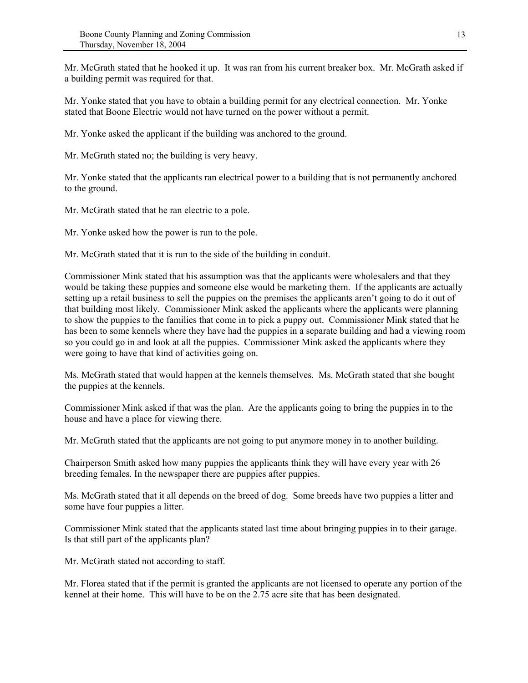Mr. McGrath stated that he hooked it up. It was ran from his current breaker box. Mr. McGrath asked if a building permit was required for that.

Mr. Yonke stated that you have to obtain a building permit for any electrical connection. Mr. Yonke stated that Boone Electric would not have turned on the power without a permit.

Mr. Yonke asked the applicant if the building was anchored to the ground.

Mr. McGrath stated no; the building is very heavy.

Mr. Yonke stated that the applicants ran electrical power to a building that is not permanently anchored to the ground.

Mr. McGrath stated that he ran electric to a pole.

Mr. Yonke asked how the power is run to the pole.

Mr. McGrath stated that it is run to the side of the building in conduit.

Commissioner Mink stated that his assumption was that the applicants were wholesalers and that they would be taking these puppies and someone else would be marketing them. If the applicants are actually setting up a retail business to sell the puppies on the premises the applicants aren't going to do it out of that building most likely. Commissioner Mink asked the applicants where the applicants were planning to show the puppies to the families that come in to pick a puppy out. Commissioner Mink stated that he has been to some kennels where they have had the puppies in a separate building and had a viewing room so you could go in and look at all the puppies. Commissioner Mink asked the applicants where they were going to have that kind of activities going on.

Ms. McGrath stated that would happen at the kennels themselves. Ms. McGrath stated that she bought the puppies at the kennels.

Commissioner Mink asked if that was the plan. Are the applicants going to bring the puppies in to the house and have a place for viewing there.

Mr. McGrath stated that the applicants are not going to put anymore money in to another building.

Chairperson Smith asked how many puppies the applicants think they will have every year with 26 breeding females. In the newspaper there are puppies after puppies.

Ms. McGrath stated that it all depends on the breed of dog. Some breeds have two puppies a litter and some have four puppies a litter.

Commissioner Mink stated that the applicants stated last time about bringing puppies in to their garage. Is that still part of the applicants plan?

Mr. McGrath stated not according to staff.

Mr. Florea stated that if the permit is granted the applicants are not licensed to operate any portion of the kennel at their home. This will have to be on the 2.75 acre site that has been designated.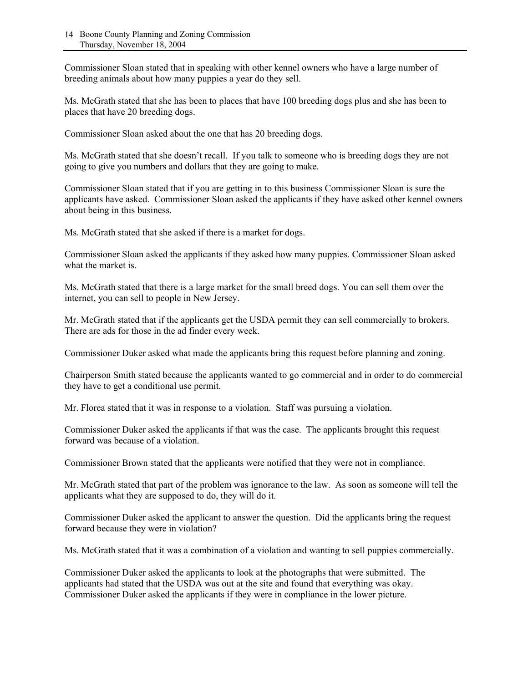Commissioner Sloan stated that in speaking with other kennel owners who have a large number of breeding animals about how many puppies a year do they sell.

Ms. McGrath stated that she has been to places that have 100 breeding dogs plus and she has been to places that have 20 breeding dogs.

Commissioner Sloan asked about the one that has 20 breeding dogs.

Ms. McGrath stated that she doesn't recall. If you talk to someone who is breeding dogs they are not going to give you numbers and dollars that they are going to make.

Commissioner Sloan stated that if you are getting in to this business Commissioner Sloan is sure the applicants have asked. Commissioner Sloan asked the applicants if they have asked other kennel owners about being in this business.

Ms. McGrath stated that she asked if there is a market for dogs.

Commissioner Sloan asked the applicants if they asked how many puppies. Commissioner Sloan asked what the market is.

Ms. McGrath stated that there is a large market for the small breed dogs. You can sell them over the internet, you can sell to people in New Jersey.

Mr. McGrath stated that if the applicants get the USDA permit they can sell commercially to brokers. There are ads for those in the ad finder every week.

Commissioner Duker asked what made the applicants bring this request before planning and zoning.

Chairperson Smith stated because the applicants wanted to go commercial and in order to do commercial they have to get a conditional use permit.

Mr. Florea stated that it was in response to a violation. Staff was pursuing a violation.

Commissioner Duker asked the applicants if that was the case. The applicants brought this request forward was because of a violation.

Commissioner Brown stated that the applicants were notified that they were not in compliance.

Mr. McGrath stated that part of the problem was ignorance to the law. As soon as someone will tell the applicants what they are supposed to do, they will do it.

Commissioner Duker asked the applicant to answer the question. Did the applicants bring the request forward because they were in violation?

Ms. McGrath stated that it was a combination of a violation and wanting to sell puppies commercially.

Commissioner Duker asked the applicants to look at the photographs that were submitted. The applicants had stated that the USDA was out at the site and found that everything was okay. Commissioner Duker asked the applicants if they were in compliance in the lower picture.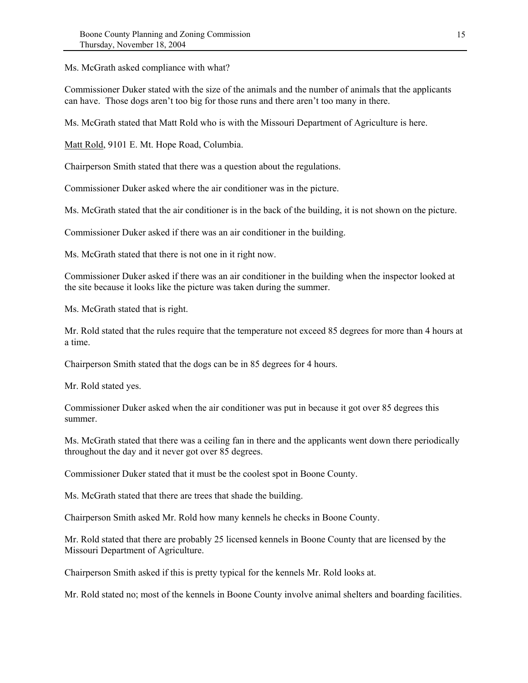Ms. McGrath asked compliance with what?

Commissioner Duker stated with the size of the animals and the number of animals that the applicants can have. Those dogs aren't too big for those runs and there aren't too many in there.

Ms. McGrath stated that Matt Rold who is with the Missouri Department of Agriculture is here.

Matt Rold, 9101 E. Mt. Hope Road, Columbia.

Chairperson Smith stated that there was a question about the regulations.

Commissioner Duker asked where the air conditioner was in the picture.

Ms. McGrath stated that the air conditioner is in the back of the building, it is not shown on the picture.

Commissioner Duker asked if there was an air conditioner in the building.

Ms. McGrath stated that there is not one in it right now.

Commissioner Duker asked if there was an air conditioner in the building when the inspector looked at the site because it looks like the picture was taken during the summer.

Ms. McGrath stated that is right.

Mr. Rold stated that the rules require that the temperature not exceed 85 degrees for more than 4 hours at a time.

Chairperson Smith stated that the dogs can be in 85 degrees for 4 hours.

Mr. Rold stated yes.

Commissioner Duker asked when the air conditioner was put in because it got over 85 degrees this summer.

Ms. McGrath stated that there was a ceiling fan in there and the applicants went down there periodically throughout the day and it never got over 85 degrees.

Commissioner Duker stated that it must be the coolest spot in Boone County.

Ms. McGrath stated that there are trees that shade the building.

Chairperson Smith asked Mr. Rold how many kennels he checks in Boone County.

Mr. Rold stated that there are probably 25 licensed kennels in Boone County that are licensed by the Missouri Department of Agriculture.

Chairperson Smith asked if this is pretty typical for the kennels Mr. Rold looks at.

Mr. Rold stated no; most of the kennels in Boone County involve animal shelters and boarding facilities.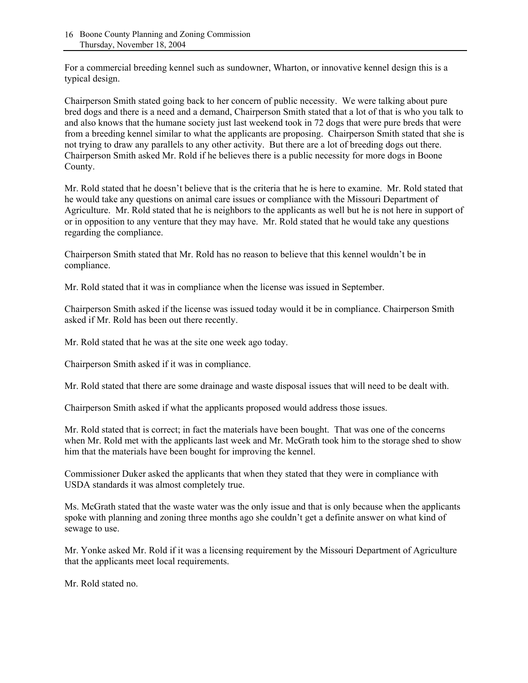For a commercial breeding kennel such as sundowner, Wharton, or innovative kennel design this is a typical design.

Chairperson Smith stated going back to her concern of public necessity. We were talking about pure bred dogs and there is a need and a demand, Chairperson Smith stated that a lot of that is who you talk to and also knows that the humane society just last weekend took in 72 dogs that were pure breds that were from a breeding kennel similar to what the applicants are proposing. Chairperson Smith stated that she is not trying to draw any parallels to any other activity. But there are a lot of breeding dogs out there. Chairperson Smith asked Mr. Rold if he believes there is a public necessity for more dogs in Boone County.

Mr. Rold stated that he doesn't believe that is the criteria that he is here to examine. Mr. Rold stated that he would take any questions on animal care issues or compliance with the Missouri Department of Agriculture. Mr. Rold stated that he is neighbors to the applicants as well but he is not here in support of or in opposition to any venture that they may have. Mr. Rold stated that he would take any questions regarding the compliance.

Chairperson Smith stated that Mr. Rold has no reason to believe that this kennel wouldn't be in compliance.

Mr. Rold stated that it was in compliance when the license was issued in September.

Chairperson Smith asked if the license was issued today would it be in compliance. Chairperson Smith asked if Mr. Rold has been out there recently.

Mr. Rold stated that he was at the site one week ago today.

Chairperson Smith asked if it was in compliance.

Mr. Rold stated that there are some drainage and waste disposal issues that will need to be dealt with.

Chairperson Smith asked if what the applicants proposed would address those issues.

Mr. Rold stated that is correct; in fact the materials have been bought. That was one of the concerns when Mr. Rold met with the applicants last week and Mr. McGrath took him to the storage shed to show him that the materials have been bought for improving the kennel.

Commissioner Duker asked the applicants that when they stated that they were in compliance with USDA standards it was almost completely true.

Ms. McGrath stated that the waste water was the only issue and that is only because when the applicants spoke with planning and zoning three months ago she couldn't get a definite answer on what kind of sewage to use.

Mr. Yonke asked Mr. Rold if it was a licensing requirement by the Missouri Department of Agriculture that the applicants meet local requirements.

Mr. Rold stated no.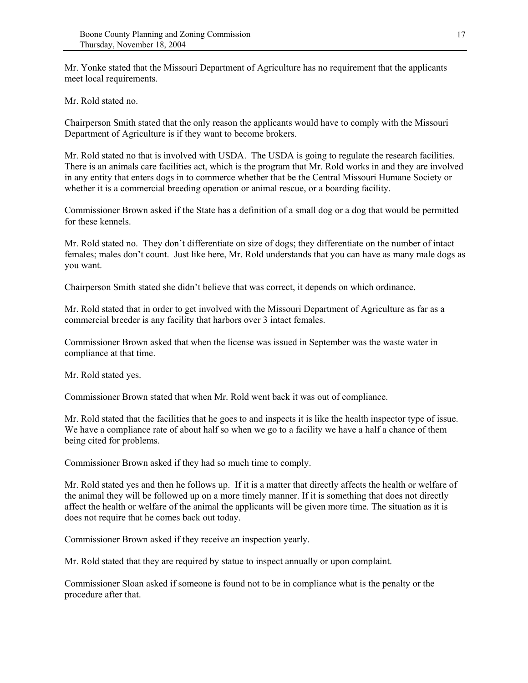Mr. Yonke stated that the Missouri Department of Agriculture has no requirement that the applicants meet local requirements.

Mr. Rold stated no.

Chairperson Smith stated that the only reason the applicants would have to comply with the Missouri Department of Agriculture is if they want to become brokers.

Mr. Rold stated no that is involved with USDA. The USDA is going to regulate the research facilities. There is an animals care facilities act, which is the program that Mr. Rold works in and they are involved in any entity that enters dogs in to commerce whether that be the Central Missouri Humane Society or whether it is a commercial breeding operation or animal rescue, or a boarding facility.

Commissioner Brown asked if the State has a definition of a small dog or a dog that would be permitted for these kennels.

Mr. Rold stated no. They don't differentiate on size of dogs; they differentiate on the number of intact females; males don't count. Just like here, Mr. Rold understands that you can have as many male dogs as you want.

Chairperson Smith stated she didn't believe that was correct, it depends on which ordinance.

Mr. Rold stated that in order to get involved with the Missouri Department of Agriculture as far as a commercial breeder is any facility that harbors over 3 intact females.

Commissioner Brown asked that when the license was issued in September was the waste water in compliance at that time.

Mr. Rold stated yes.

Commissioner Brown stated that when Mr. Rold went back it was out of compliance.

Mr. Rold stated that the facilities that he goes to and inspects it is like the health inspector type of issue. We have a compliance rate of about half so when we go to a facility we have a half a chance of them being cited for problems.

Commissioner Brown asked if they had so much time to comply.

Mr. Rold stated yes and then he follows up. If it is a matter that directly affects the health or welfare of the animal they will be followed up on a more timely manner. If it is something that does not directly affect the health or welfare of the animal the applicants will be given more time. The situation as it is does not require that he comes back out today.

Commissioner Brown asked if they receive an inspection yearly.

Mr. Rold stated that they are required by statue to inspect annually or upon complaint.

Commissioner Sloan asked if someone is found not to be in compliance what is the penalty or the procedure after that.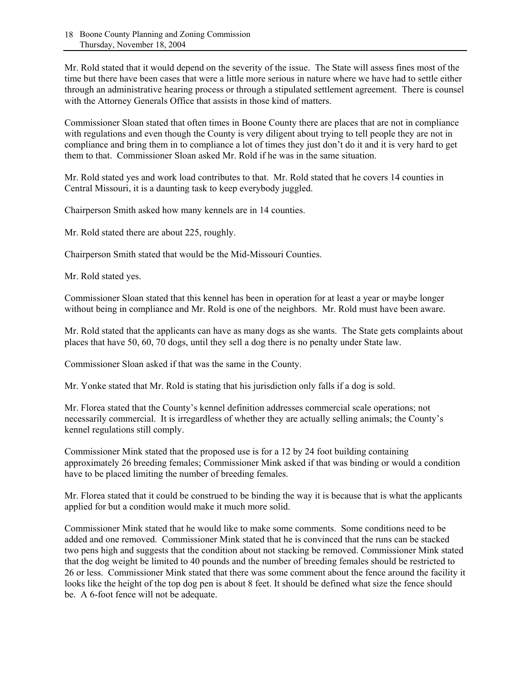Mr. Rold stated that it would depend on the severity of the issue. The State will assess fines most of the time but there have been cases that were a little more serious in nature where we have had to settle either through an administrative hearing process or through a stipulated settlement agreement. There is counsel with the Attorney Generals Office that assists in those kind of matters.

Commissioner Sloan stated that often times in Boone County there are places that are not in compliance with regulations and even though the County is very diligent about trying to tell people they are not in compliance and bring them in to compliance a lot of times they just don't do it and it is very hard to get them to that. Commissioner Sloan asked Mr. Rold if he was in the same situation.

Mr. Rold stated yes and work load contributes to that. Mr. Rold stated that he covers 14 counties in Central Missouri, it is a daunting task to keep everybody juggled.

Chairperson Smith asked how many kennels are in 14 counties.

Mr. Rold stated there are about 225, roughly.

Chairperson Smith stated that would be the Mid-Missouri Counties.

Mr. Rold stated yes.

Commissioner Sloan stated that this kennel has been in operation for at least a year or maybe longer without being in compliance and Mr. Rold is one of the neighbors. Mr. Rold must have been aware.

Mr. Rold stated that the applicants can have as many dogs as she wants. The State gets complaints about places that have 50, 60, 70 dogs, until they sell a dog there is no penalty under State law.

Commissioner Sloan asked if that was the same in the County.

Mr. Yonke stated that Mr. Rold is stating that his jurisdiction only falls if a dog is sold.

Mr. Florea stated that the County's kennel definition addresses commercial scale operations; not necessarily commercial. It is irregardless of whether they are actually selling animals; the County's kennel regulations still comply.

Commissioner Mink stated that the proposed use is for a 12 by 24 foot building containing approximately 26 breeding females; Commissioner Mink asked if that was binding or would a condition have to be placed limiting the number of breeding females.

Mr. Florea stated that it could be construed to be binding the way it is because that is what the applicants applied for but a condition would make it much more solid.

Commissioner Mink stated that he would like to make some comments. Some conditions need to be added and one removed. Commissioner Mink stated that he is convinced that the runs can be stacked two pens high and suggests that the condition about not stacking be removed. Commissioner Mink stated that the dog weight be limited to 40 pounds and the number of breeding females should be restricted to 26 or less. Commissioner Mink stated that there was some comment about the fence around the facility it looks like the height of the top dog pen is about 8 feet. It should be defined what size the fence should be. A 6-foot fence will not be adequate.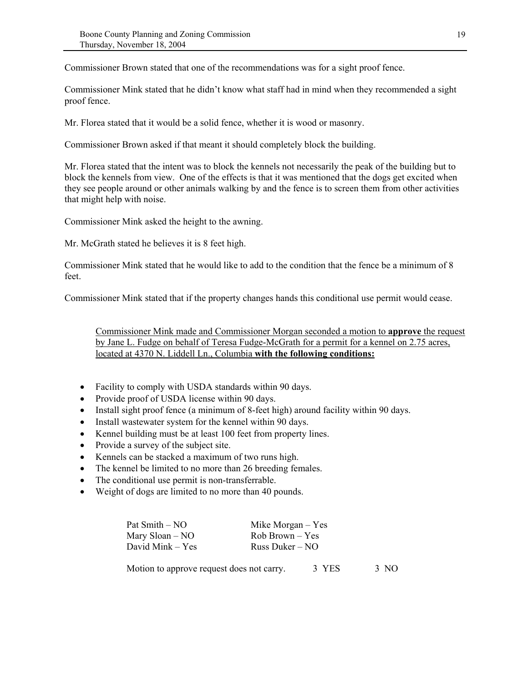Commissioner Brown stated that one of the recommendations was for a sight proof fence.

Commissioner Mink stated that he didn't know what staff had in mind when they recommended a sight proof fence.

Mr. Florea stated that it would be a solid fence, whether it is wood or masonry.

Commissioner Brown asked if that meant it should completely block the building.

Mr. Florea stated that the intent was to block the kennels not necessarily the peak of the building but to block the kennels from view. One of the effects is that it was mentioned that the dogs get excited when they see people around or other animals walking by and the fence is to screen them from other activities that might help with noise.

Commissioner Mink asked the height to the awning.

Mr. McGrath stated he believes it is 8 feet high.

Commissioner Mink stated that he would like to add to the condition that the fence be a minimum of 8 feet.

Commissioner Mink stated that if the property changes hands this conditional use permit would cease.

Commissioner Mink made and Commissioner Morgan seconded a motion to **approve** the request by Jane L. Fudge on behalf of Teresa Fudge-McGrath for a permit for a kennel on 2.75 acres, located at 4370 N. Liddell Ln., Columbia **with the following conditions:**

- Facility to comply with USDA standards within 90 days.
- Provide proof of USDA license within 90 days.
- Install sight proof fence (a minimum of 8-feet high) around facility within 90 days.
- Install wastewater system for the kennel within 90 days.
- Kennel building must be at least 100 feet from property lines.
- Provide a survey of the subject site.
- Kennels can be stacked a maximum of two runs high.
- The kennel be limited to no more than 26 breeding females.
- The conditional use permit is non-transferrable.
- Weight of dogs are limited to no more than 40 pounds.

| Pat Smith – NO    | Mike Morgan $-$ Yes |
|-------------------|---------------------|
| Mary Sloan $-$ NO | $Rob Brown - Yes$   |
| David Mink – Yes  | Russ Duker – $NO$   |
|                   |                     |

Motion to approve request does not carry. 3 YES 3 NO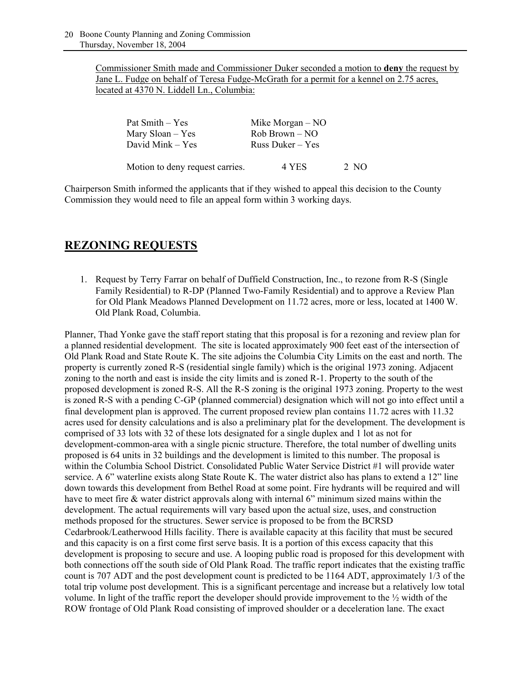Commissioner Smith made and Commissioner Duker seconded a motion to **deny** the request by Jane L. Fudge on behalf of Teresa Fudge-McGrath for a permit for a kennel on 2.75 acres, located at 4370 N. Liddell Ln., Columbia:

| Pat Smith – Yes                 | Mike Morgan $-$ NO |      |
|---------------------------------|--------------------|------|
| Mary Sloan – Yes                | $Rob Brown - NO$   |      |
| David Mink – Yes                | Russ Duker $-$ Yes |      |
| Motion to deny request carries. | 4 YES              | 2 NO |

Chairperson Smith informed the applicants that if they wished to appeal this decision to the County Commission they would need to file an appeal form within 3 working days.

# **REZONING REQUESTS**

1. Request by Terry Farrar on behalf of Duffield Construction, Inc., to rezone from R-S (Single Family Residential) to R-DP (Planned Two-Family Residential) and to approve a Review Plan for Old Plank Meadows Planned Development on 11.72 acres, more or less, located at 1400 W. Old Plank Road, Columbia.

Planner, Thad Yonke gave the staff report stating that this proposal is for a rezoning and review plan for a planned residential development. The site is located approximately 900 feet east of the intersection of Old Plank Road and State Route K. The site adjoins the Columbia City Limits on the east and north. The property is currently zoned R-S (residential single family) which is the original 1973 zoning. Adjacent zoning to the north and east is inside the city limits and is zoned R-1. Property to the south of the proposed development is zoned R-S. All the R-S zoning is the original 1973 zoning. Property to the west is zoned R-S with a pending C-GP (planned commercial) designation which will not go into effect until a final development plan is approved. The current proposed review plan contains 11.72 acres with 11.32 acres used for density calculations and is also a preliminary plat for the development. The development is comprised of 33 lots with 32 of these lots designated for a single duplex and 1 lot as not for development-common-area with a single picnic structure. Therefore, the total number of dwelling units proposed is 64 units in 32 buildings and the development is limited to this number. The proposal is within the Columbia School District. Consolidated Public Water Service District #1 will provide water service. A 6" waterline exists along State Route K. The water district also has plans to extend a 12" line down towards this development from Bethel Road at some point. Fire hydrants will be required and will have to meet fire & water district approvals along with internal 6" minimum sized mains within the development. The actual requirements will vary based upon the actual size, uses, and construction methods proposed for the structures. Sewer service is proposed to be from the BCRSD Cedarbrook/Leatherwood Hills facility. There is available capacity at this facility that must be secured and this capacity is on a first come first serve basis. It is a portion of this excess capacity that this development is proposing to secure and use. A looping public road is proposed for this development with both connections off the south side of Old Plank Road. The traffic report indicates that the existing traffic count is 707 ADT and the post development count is predicted to be 1164 ADT, approximately 1/3 of the total trip volume post development. This is a significant percentage and increase but a relatively low total volume. In light of the traffic report the developer should provide improvement to the ½ width of the ROW frontage of Old Plank Road consisting of improved shoulder or a deceleration lane. The exact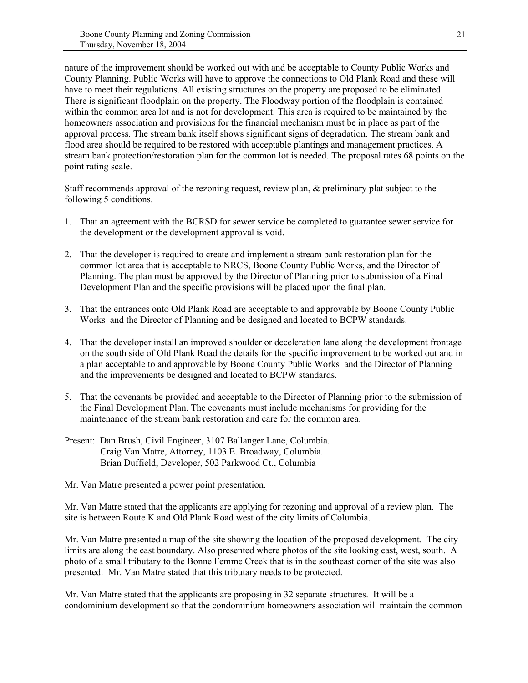nature of the improvement should be worked out with and be acceptable to County Public Works and County Planning. Public Works will have to approve the connections to Old Plank Road and these will have to meet their regulations. All existing structures on the property are proposed to be eliminated. There is significant floodplain on the property. The Floodway portion of the floodplain is contained within the common area lot and is not for development. This area is required to be maintained by the homeowners association and provisions for the financial mechanism must be in place as part of the approval process. The stream bank itself shows significant signs of degradation. The stream bank and flood area should be required to be restored with acceptable plantings and management practices. A stream bank protection/restoration plan for the common lot is needed. The proposal rates 68 points on the point rating scale.

Staff recommends approval of the rezoning request, review plan, & preliminary plat subject to the following 5 conditions.

- 1. That an agreement with the BCRSD for sewer service be completed to guarantee sewer service for the development or the development approval is void.
- 2. That the developer is required to create and implement a stream bank restoration plan for the common lot area that is acceptable to NRCS, Boone County Public Works, and the Director of Planning. The plan must be approved by the Director of Planning prior to submission of a Final Development Plan and the specific provisions will be placed upon the final plan.
- 3. That the entrances onto Old Plank Road are acceptable to and approvable by Boone County Public Works and the Director of Planning and be designed and located to BCPW standards.
- 4. That the developer install an improved shoulder or deceleration lane along the development frontage on the south side of Old Plank Road the details for the specific improvement to be worked out and in a plan acceptable to and approvable by Boone County Public Works and the Director of Planning and the improvements be designed and located to BCPW standards.
- 5. That the covenants be provided and acceptable to the Director of Planning prior to the submission of the Final Development Plan. The covenants must include mechanisms for providing for the maintenance of the stream bank restoration and care for the common area.
- Present: Dan Brush, Civil Engineer, 3107 Ballanger Lane, Columbia. Craig Van Matre, Attorney, 1103 E. Broadway, Columbia. Brian Duffield, Developer, 502 Parkwood Ct., Columbia

Mr. Van Matre presented a power point presentation.

Mr. Van Matre stated that the applicants are applying for rezoning and approval of a review plan. The site is between Route K and Old Plank Road west of the city limits of Columbia.

Mr. Van Matre presented a map of the site showing the location of the proposed development. The city limits are along the east boundary. Also presented where photos of the site looking east, west, south. A photo of a small tributary to the Bonne Femme Creek that is in the southeast corner of the site was also presented. Mr. Van Matre stated that this tributary needs to be protected.

Mr. Van Matre stated that the applicants are proposing in 32 separate structures. It will be a condominium development so that the condominium homeowners association will maintain the common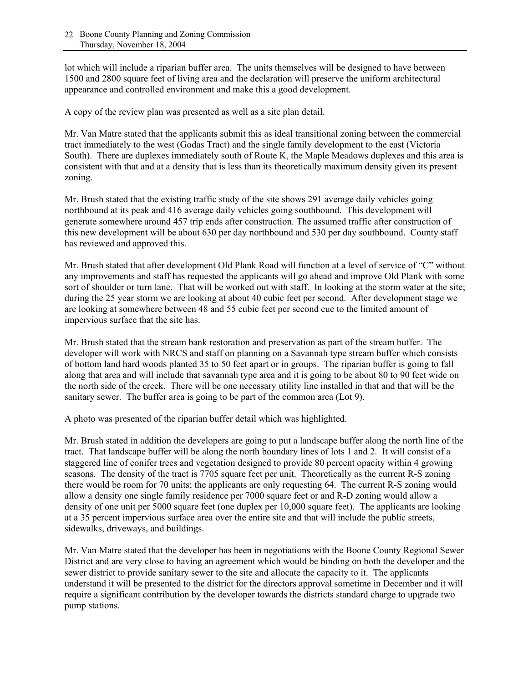lot which will include a riparian buffer area. The units themselves will be designed to have between 1500 and 2800 square feet of living area and the declaration will preserve the uniform architectural appearance and controlled environment and make this a good development.

A copy of the review plan was presented as well as a site plan detail.

Mr. Van Matre stated that the applicants submit this as ideal transitional zoning between the commercial tract immediately to the west (Godas Tract) and the single family development to the east (Victoria South). There are duplexes immediately south of Route K, the Maple Meadows duplexes and this area is consistent with that and at a density that is less than its theoretically maximum density given its present zoning.

Mr. Brush stated that the existing traffic study of the site shows 291 average daily vehicles going northbound at its peak and 416 average daily vehicles going southbound. This development will generate somewhere around 457 trip ends after construction. The assumed traffic after construction of this new development will be about 630 per day northbound and 530 per day southbound. County staff has reviewed and approved this.

Mr. Brush stated that after development Old Plank Road will function at a level of service of "C" without any improvements and staff has requested the applicants will go ahead and improve Old Plank with some sort of shoulder or turn lane. That will be worked out with staff. In looking at the storm water at the site; during the 25 year storm we are looking at about 40 cubic feet per second. After development stage we are looking at somewhere between 48 and 55 cubic feet per second cue to the limited amount of impervious surface that the site has.

Mr. Brush stated that the stream bank restoration and preservation as part of the stream buffer. The developer will work with NRCS and staff on planning on a Savannah type stream buffer which consists of bottom land hard woods planted 35 to 50 feet apart or in groups. The riparian buffer is going to fall along that area and will include that savannah type area and it is going to be about 80 to 90 feet wide on the north side of the creek. There will be one necessary utility line installed in that and that will be the sanitary sewer. The buffer area is going to be part of the common area (Lot 9).

A photo was presented of the riparian buffer detail which was highlighted.

Mr. Brush stated in addition the developers are going to put a landscape buffer along the north line of the tract. That landscape buffer will be along the north boundary lines of lots 1 and 2. It will consist of a staggered line of conifer trees and vegetation designed to provide 80 percent opacity within 4 growing seasons. The density of the tract is 7705 square feet per unit. Theoretically as the current R-S zoning there would be room for 70 units; the applicants are only requesting 64. The current R-S zoning would allow a density one single family residence per 7000 square feet or and R-D zoning would allow a density of one unit per 5000 square feet (one duplex per 10,000 square feet). The applicants are looking at a 35 percent impervious surface area over the entire site and that will include the public streets, sidewalks, driveways, and buildings.

Mr. Van Matre stated that the developer has been in negotiations with the Boone County Regional Sewer District and are very close to having an agreement which would be binding on both the developer and the sewer district to provide sanitary sewer to the site and allocate the capacity to it. The applicants understand it will be presented to the district for the directors approval sometime in December and it will require a significant contribution by the developer towards the districts standard charge to upgrade two pump stations.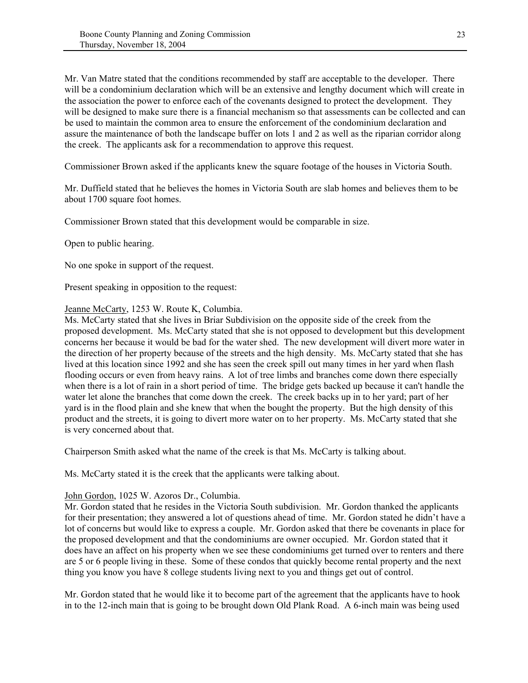Mr. Van Matre stated that the conditions recommended by staff are acceptable to the developer. There will be a condominium declaration which will be an extensive and lengthy document which will create in the association the power to enforce each of the covenants designed to protect the development. They will be designed to make sure there is a financial mechanism so that assessments can be collected and can be used to maintain the common area to ensure the enforcement of the condominium declaration and assure the maintenance of both the landscape buffer on lots 1 and 2 as well as the riparian corridor along the creek. The applicants ask for a recommendation to approve this request.

Commissioner Brown asked if the applicants knew the square footage of the houses in Victoria South.

Mr. Duffield stated that he believes the homes in Victoria South are slab homes and believes them to be about 1700 square foot homes.

Commissioner Brown stated that this development would be comparable in size.

Open to public hearing.

No one spoke in support of the request.

Present speaking in opposition to the request:

#### Jeanne McCarty, 1253 W. Route K, Columbia.

Ms. McCarty stated that she lives in Briar Subdivision on the opposite side of the creek from the proposed development. Ms. McCarty stated that she is not opposed to development but this development concerns her because it would be bad for the water shed. The new development will divert more water in the direction of her property because of the streets and the high density. Ms. McCarty stated that she has lived at this location since 1992 and she has seen the creek spill out many times in her yard when flash flooding occurs or even from heavy rains. A lot of tree limbs and branches come down there especially when there is a lot of rain in a short period of time. The bridge gets backed up because it can't handle the water let alone the branches that come down the creek. The creek backs up in to her yard; part of her yard is in the flood plain and she knew that when the bought the property. But the high density of this product and the streets, it is going to divert more water on to her property. Ms. McCarty stated that she is very concerned about that.

Chairperson Smith asked what the name of the creek is that Ms. McCarty is talking about.

Ms. McCarty stated it is the creek that the applicants were talking about.

#### John Gordon, 1025 W. Azoros Dr., Columbia.

Mr. Gordon stated that he resides in the Victoria South subdivision. Mr. Gordon thanked the applicants for their presentation; they answered a lot of questions ahead of time. Mr. Gordon stated he didn't have a lot of concerns but would like to express a couple. Mr. Gordon asked that there be covenants in place for the proposed development and that the condominiums are owner occupied. Mr. Gordon stated that it does have an affect on his property when we see these condominiums get turned over to renters and there are 5 or 6 people living in these. Some of these condos that quickly become rental property and the next thing you know you have 8 college students living next to you and things get out of control.

Mr. Gordon stated that he would like it to become part of the agreement that the applicants have to hook in to the 12-inch main that is going to be brought down Old Plank Road. A 6-inch main was being used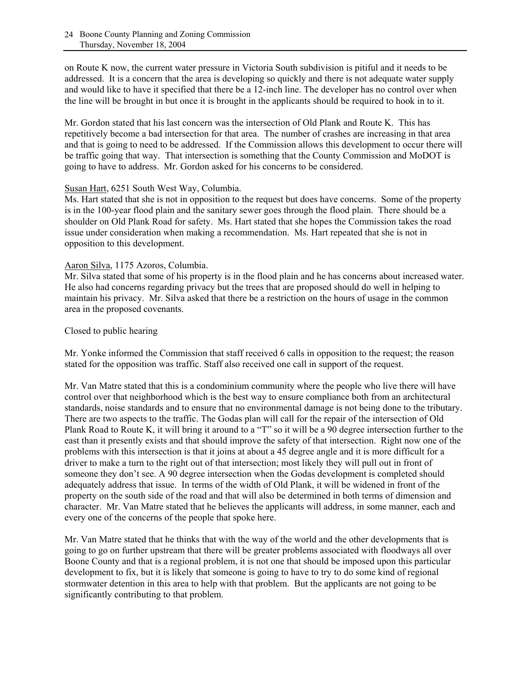on Route K now, the current water pressure in Victoria South subdivision is pitiful and it needs to be addressed. It is a concern that the area is developing so quickly and there is not adequate water supply and would like to have it specified that there be a 12-inch line. The developer has no control over when the line will be brought in but once it is brought in the applicants should be required to hook in to it.

Mr. Gordon stated that his last concern was the intersection of Old Plank and Route K. This has repetitively become a bad intersection for that area. The number of crashes are increasing in that area and that is going to need to be addressed. If the Commission allows this development to occur there will be traffic going that way. That intersection is something that the County Commission and MoDOT is going to have to address. Mr. Gordon asked for his concerns to be considered.

#### Susan Hart, 6251 South West Way, Columbia.

Ms. Hart stated that she is not in opposition to the request but does have concerns. Some of the property is in the 100-year flood plain and the sanitary sewer goes through the flood plain. There should be a shoulder on Old Plank Road for safety. Ms. Hart stated that she hopes the Commission takes the road issue under consideration when making a recommendation. Ms. Hart repeated that she is not in opposition to this development.

#### Aaron Silva, 1175 Azoros, Columbia.

Mr. Silva stated that some of his property is in the flood plain and he has concerns about increased water. He also had concerns regarding privacy but the trees that are proposed should do well in helping to maintain his privacy. Mr. Silva asked that there be a restriction on the hours of usage in the common area in the proposed covenants.

#### Closed to public hearing

Mr. Yonke informed the Commission that staff received 6 calls in opposition to the request; the reason stated for the opposition was traffic. Staff also received one call in support of the request.

Mr. Van Matre stated that this is a condominium community where the people who live there will have control over that neighborhood which is the best way to ensure compliance both from an architectural standards, noise standards and to ensure that no environmental damage is not being done to the tributary. There are two aspects to the traffic. The Godas plan will call for the repair of the intersection of Old Plank Road to Route K, it will bring it around to a "T" so it will be a 90 degree intersection further to the east than it presently exists and that should improve the safety of that intersection. Right now one of the problems with this intersection is that it joins at about a 45 degree angle and it is more difficult for a driver to make a turn to the right out of that intersection; most likely they will pull out in front of someone they don't see. A 90 degree intersection when the Godas development is completed should adequately address that issue. In terms of the width of Old Plank, it will be widened in front of the property on the south side of the road and that will also be determined in both terms of dimension and character. Mr. Van Matre stated that he believes the applicants will address, in some manner, each and every one of the concerns of the people that spoke here.

Mr. Van Matre stated that he thinks that with the way of the world and the other developments that is going to go on further upstream that there will be greater problems associated with floodways all over Boone County and that is a regional problem, it is not one that should be imposed upon this particular development to fix, but it is likely that someone is going to have to try to do some kind of regional stormwater detention in this area to help with that problem. But the applicants are not going to be significantly contributing to that problem.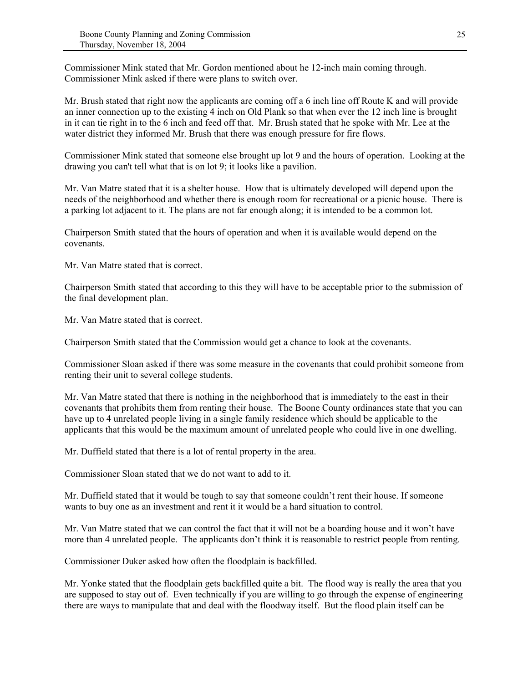Commissioner Mink stated that Mr. Gordon mentioned about he 12-inch main coming through. Commissioner Mink asked if there were plans to switch over.

Mr. Brush stated that right now the applicants are coming off a 6 inch line off Route K and will provide an inner connection up to the existing 4 inch on Old Plank so that when ever the 12 inch line is brought in it can tie right in to the 6 inch and feed off that. Mr. Brush stated that he spoke with Mr. Lee at the water district they informed Mr. Brush that there was enough pressure for fire flows.

Commissioner Mink stated that someone else brought up lot 9 and the hours of operation. Looking at the drawing you can't tell what that is on lot 9; it looks like a pavilion.

Mr. Van Matre stated that it is a shelter house. How that is ultimately developed will depend upon the needs of the neighborhood and whether there is enough room for recreational or a picnic house. There is a parking lot adjacent to it. The plans are not far enough along; it is intended to be a common lot.

Chairperson Smith stated that the hours of operation and when it is available would depend on the covenants.

Mr. Van Matre stated that is correct.

Chairperson Smith stated that according to this they will have to be acceptable prior to the submission of the final development plan.

Mr. Van Matre stated that is correct.

Chairperson Smith stated that the Commission would get a chance to look at the covenants.

Commissioner Sloan asked if there was some measure in the covenants that could prohibit someone from renting their unit to several college students.

Mr. Van Matre stated that there is nothing in the neighborhood that is immediately to the east in their covenants that prohibits them from renting their house. The Boone County ordinances state that you can have up to 4 unrelated people living in a single family residence which should be applicable to the applicants that this would be the maximum amount of unrelated people who could live in one dwelling.

Mr. Duffield stated that there is a lot of rental property in the area.

Commissioner Sloan stated that we do not want to add to it.

Mr. Duffield stated that it would be tough to say that someone couldn't rent their house. If someone wants to buy one as an investment and rent it it would be a hard situation to control.

Mr. Van Matre stated that we can control the fact that it will not be a boarding house and it won't have more than 4 unrelated people. The applicants don't think it is reasonable to restrict people from renting.

Commissioner Duker asked how often the floodplain is backfilled.

Mr. Yonke stated that the floodplain gets backfilled quite a bit. The flood way is really the area that you are supposed to stay out of. Even technically if you are willing to go through the expense of engineering there are ways to manipulate that and deal with the floodway itself. But the flood plain itself can be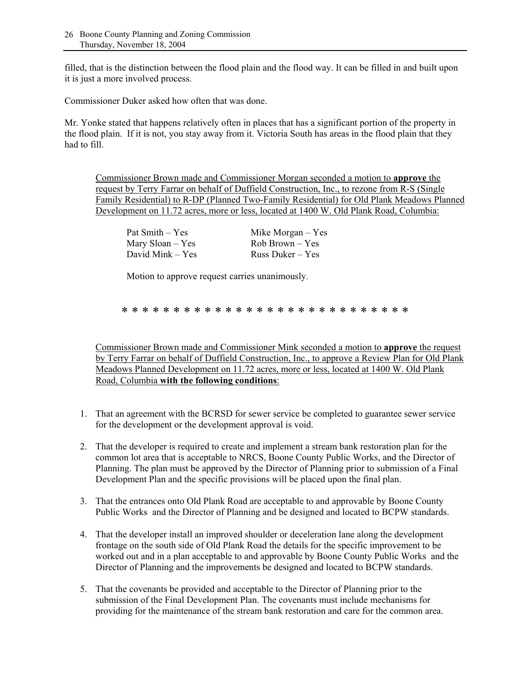filled, that is the distinction between the flood plain and the flood way. It can be filled in and built upon it is just a more involved process.

Commissioner Duker asked how often that was done.

Mr. Yonke stated that happens relatively often in places that has a significant portion of the property in the flood plain. If it is not, you stay away from it. Victoria South has areas in the flood plain that they had to fill.

Commissioner Brown made and Commissioner Morgan seconded a motion to **approve** the request by Terry Farrar on behalf of Duffield Construction, Inc., to rezone from R-S (Single Family Residential) to R-DP (Planned Two-Family Residential) for Old Plank Meadows Planned Development on 11.72 acres, more or less, located at 1400 W. Old Plank Road, Columbia:

| Pat Smith – Yes     | Mike Morgan $-$ Yes |
|---------------------|---------------------|
| Mary $S$ loan – Yes | $Rob Brown - Yes$   |
| David Mink – Yes    | Russ Duker $-$ Yes  |

Motion to approve request carries unanimously.

\* \* \* \* \* \* \* \* \* \* \* \* \* \* \* \* \* \* \* \* \* \* \* \* \* \* \* \*

Commissioner Brown made and Commissioner Mink seconded a motion to **approve** the request by Terry Farrar on behalf of Duffield Construction, Inc., to approve a Review Plan for Old Plank Meadows Planned Development on 11.72 acres, more or less, located at 1400 W. Old Plank Road, Columbia **with the following conditions**:

- 1. That an agreement with the BCRSD for sewer service be completed to guarantee sewer service for the development or the development approval is void.
- 2. That the developer is required to create and implement a stream bank restoration plan for the common lot area that is acceptable to NRCS, Boone County Public Works, and the Director of Planning. The plan must be approved by the Director of Planning prior to submission of a Final Development Plan and the specific provisions will be placed upon the final plan.
- 3. That the entrances onto Old Plank Road are acceptable to and approvable by Boone County Public Works and the Director of Planning and be designed and located to BCPW standards.
- 4. That the developer install an improved shoulder or deceleration lane along the development frontage on the south side of Old Plank Road the details for the specific improvement to be worked out and in a plan acceptable to and approvable by Boone County Public Works and the Director of Planning and the improvements be designed and located to BCPW standards.
- 5. That the covenants be provided and acceptable to the Director of Planning prior to the submission of the Final Development Plan. The covenants must include mechanisms for providing for the maintenance of the stream bank restoration and care for the common area.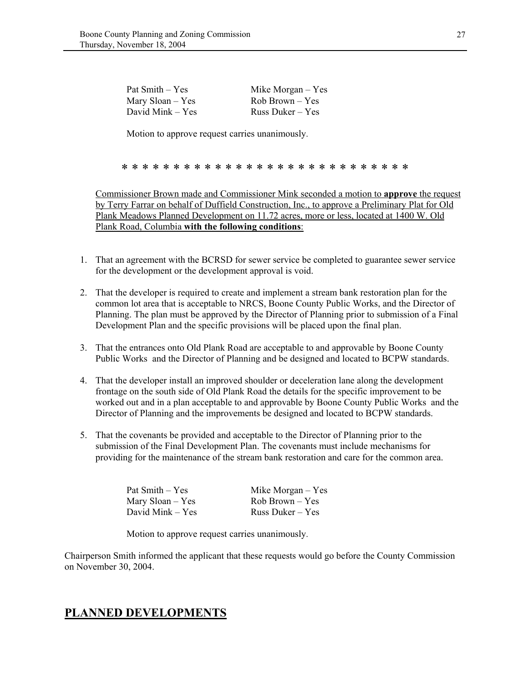| Pat Smith – Yes  | Mike Morgan $-$ Yes |
|------------------|---------------------|
| Mary Sloan – Yes | $Rob Brown - Yes$   |
| David Mink – Yes | Russ Duker $-$ Yes  |

Motion to approve request carries unanimously.

#### \* \* \* \* \* \* \* \* \* \* \* \* \* \* \* \* \* \* \* \* \* \* \* \* \* \* \* \*

Commissioner Brown made and Commissioner Mink seconded a motion to **approve** the request by Terry Farrar on behalf of Duffield Construction, Inc., to approve a Preliminary Plat for Old Plank Meadows Planned Development on 11.72 acres, more or less, located at 1400 W. Old Plank Road, Columbia **with the following conditions**:

- 1. That an agreement with the BCRSD for sewer service be completed to guarantee sewer service for the development or the development approval is void.
- 2. That the developer is required to create and implement a stream bank restoration plan for the common lot area that is acceptable to NRCS, Boone County Public Works, and the Director of Planning. The plan must be approved by the Director of Planning prior to submission of a Final Development Plan and the specific provisions will be placed upon the final plan.
- 3. That the entrances onto Old Plank Road are acceptable to and approvable by Boone County Public Works and the Director of Planning and be designed and located to BCPW standards.
- 4. That the developer install an improved shoulder or deceleration lane along the development frontage on the south side of Old Plank Road the details for the specific improvement to be worked out and in a plan acceptable to and approvable by Boone County Public Works and the Director of Planning and the improvements be designed and located to BCPW standards.
- 5. That the covenants be provided and acceptable to the Director of Planning prior to the submission of the Final Development Plan. The covenants must include mechanisms for providing for the maintenance of the stream bank restoration and care for the common area.

| Pat Smith – Yes  | Mike Morgan $-$ Yes |
|------------------|---------------------|
| Mary Sloan – Yes | Rob Brown – Yes     |
| David Mink – Yes | Russ Duker $-$ Yes  |

Motion to approve request carries unanimously.

Chairperson Smith informed the applicant that these requests would go before the County Commission on November 30, 2004.

### **PLANNED DEVELOPMENTS**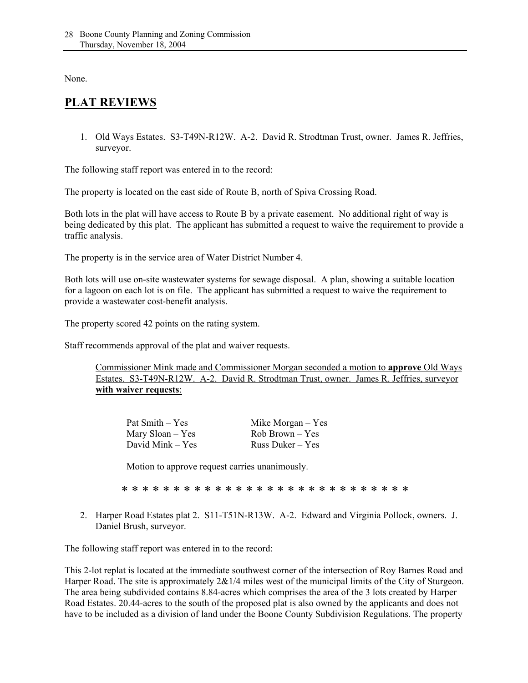None.

# **PLAT REVIEWS**

1. Old Ways Estates. S3-T49N-R12W. A-2. David R. Strodtman Trust, owner. James R. Jeffries, surveyor.

The following staff report was entered in to the record:

The property is located on the east side of Route B, north of Spiva Crossing Road.

Both lots in the plat will have access to Route B by a private easement. No additional right of way is being dedicated by this plat. The applicant has submitted a request to waive the requirement to provide a traffic analysis.

The property is in the service area of Water District Number 4.

Both lots will use on-site wastewater systems for sewage disposal. A plan, showing a suitable location for a lagoon on each lot is on file. The applicant has submitted a request to waive the requirement to provide a wastewater cost-benefit analysis.

The property scored 42 points on the rating system.

Staff recommends approval of the plat and waiver requests.

 Commissioner Mink made and Commissioner Morgan seconded a motion to **approve** Old Ways Estates. S3-T49N-R12W. A-2. David R. Strodtman Trust, owner. James R. Jeffries, surveyor **with waiver requests**:

| Pat Smith – Yes  | Mike Morgan $-$ Yes |
|------------------|---------------------|
| Mary Sloan – Yes | Rob Brown – Yes     |
| David Mink – Yes | Russ Duker $-$ Yes  |

Motion to approve request carries unanimously.

\* \* \* \* \* \* \* \* \* \* \* \* \* \* \* \* \* \* \* \* \* \* \* \* \* \* \* \*

2. Harper Road Estates plat 2. S11-T51N-R13W. A-2. Edward and Virginia Pollock, owners. J. Daniel Brush, surveyor.

The following staff report was entered in to the record:

This 2-lot replat is located at the immediate southwest corner of the intersection of Roy Barnes Road and Harper Road. The site is approximately  $2&1/4$  miles west of the municipal limits of the City of Sturgeon. The area being subdivided contains 8.84-acres which comprises the area of the 3 lots created by Harper Road Estates. 20.44-acres to the south of the proposed plat is also owned by the applicants and does not have to be included as a division of land under the Boone County Subdivision Regulations. The property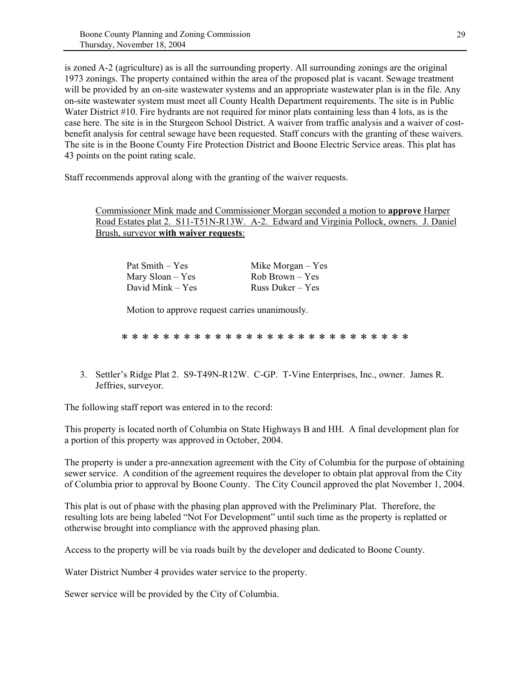is zoned A-2 (agriculture) as is all the surrounding property. All surrounding zonings are the original 1973 zonings. The property contained within the area of the proposed plat is vacant. Sewage treatment will be provided by an on-site wastewater systems and an appropriate wastewater plan is in the file. Any on-site wastewater system must meet all County Health Department requirements. The site is in Public Water District #10. Fire hydrants are not required for minor plats containing less than 4 lots, as is the case here. The site is in the Sturgeon School District. A waiver from traffic analysis and a waiver of costbenefit analysis for central sewage have been requested. Staff concurs with the granting of these waivers. The site is in the Boone County Fire Protection District and Boone Electric Service areas. This plat has 43 points on the point rating scale.

Staff recommends approval along with the granting of the waiver requests.

 Commissioner Mink made and Commissioner Morgan seconded a motion to **approve** Harper Road Estates plat 2. S11-T51N-R13W. A-2. Edward and Virginia Pollock, owners. J. Daniel Brush, surveyor **with waiver requests**:

| Pat Smith – Yes     | Mike Morgan $-$ Yes |
|---------------------|---------------------|
| Mary $S$ loan – Yes | $Rob Brown - Yes$   |
| David Mink – Yes    | Russ Duker $-$ Yes  |

Motion to approve request carries unanimously.

\* \* \* \* \* \* \* \* \* \* \* \* \* \* \* \* \* \* \* \* \* \* \* \* \* \* \* \*

3. Settler's Ridge Plat 2. S9-T49N-R12W. C-GP. T-Vine Enterprises, Inc., owner. James R. Jeffries, surveyor.

The following staff report was entered in to the record:

This property is located north of Columbia on State Highways B and HH. A final development plan for a portion of this property was approved in October, 2004.

The property is under a pre-annexation agreement with the City of Columbia for the purpose of obtaining sewer service. A condition of the agreement requires the developer to obtain plat approval from the City of Columbia prior to approval by Boone County. The City Council approved the plat November 1, 2004.

This plat is out of phase with the phasing plan approved with the Preliminary Plat. Therefore, the resulting lots are being labeled "Not For Development" until such time as the property is replatted or otherwise brought into compliance with the approved phasing plan.

Access to the property will be via roads built by the developer and dedicated to Boone County.

Water District Number 4 provides water service to the property.

Sewer service will be provided by the City of Columbia.